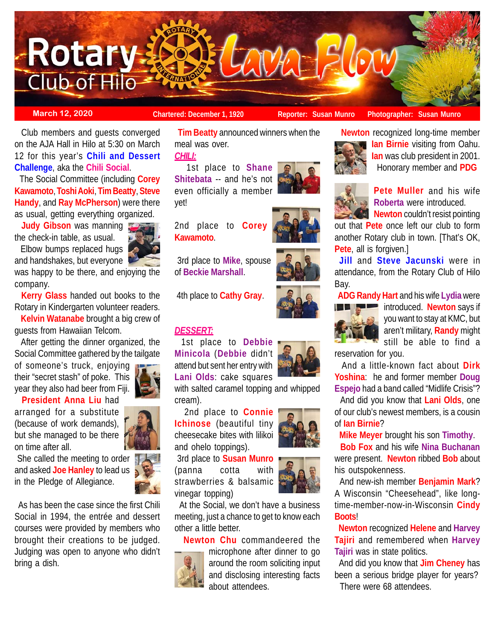

### **March 12, 2020 Chartered: December 1, 1920 Reporter: Susan Munro** Photographer: Susan Munro

 Club members and guests converged on the AJA Hall in Hilo at 5:30 on March 12 for this year's **Chili and Dessert Challenge**, aka the **Chili Social**.

 The Social Committee (including **Corey Kawamoto**, **Toshi Aoki**, **Tim Beatty**, **Steve Handy**, and **Ray McPherson**) were there as usual, getting everything organized.

**Judy Gibson** was manning the check-in table, as usual.

 Elbow bumps replaced hugs and handshakes, but everyone was happy to be there, and enjoying the company.

 **Kerry Glass** handed out books to the Rotary in Kindergarten volunteer readers.

 **Kelvin Watanabe** brought a big crew of guests from Hawaiian Telcom.

 After getting the dinner organized, the Social Committee gathered by the tailgate

of someone's truck, enjoying their "secret stash" of poke. This year they also had beer from Fiji.

 **President Anna Liu** had arranged for a substitute (because of work demands), but she managed to be there

on time after all.

 She called the meeting to order and asked **Joe Hanley** to lead us in the Pledge of Allegiance.

 As has been the case since the first Chili Social in 1994, the entrée and dessert courses were provided by members who brought their creations to be judged. Judging was open to anyone who didn't bring a dish.

 **Tim Beatty** announced winners when the meal was over.

*CHILI:*

 1st place to **Shane Shitebata** -- and he's not even officially a member yet!

2nd place to **Corey Kawamoto**.

 3rd place to **Mike**, spouse of **Beckie Marshall**.

4th place to **Cathy Gray**.

## *DESSERT:*

 1st place to **Debbie Minicola** (**Debbie** didn't attend but sent her entry with **Lani Olds**: cake squares

with salted caramel topping and whipped cream).

 2nd place to **Connie Ichinose** (beautiful tiny cheesecake bites with lilikoi and ohelo toppings).

 3rd place to **Susan Munro** (panna cotta with strawberries & balsamic vinegar topping)

 At the Social, we don't have a business meeting, just a chance to get to know each other a little better.

**Newton Chu** commandeered the



microphone after dinner to go around the room soliciting input and disclosing interesting facts about attendees.



 **Newton** recognized long-time member **Ian Birnie** visiting from Oahu. **Ian** was club president in 2001. Honorary member and **PDG**



**Pete Muller** and his wife **Roberta** were introduced.

**Newton** couldn't resist pointing out that **Pete** once left our club to form another Rotary club in town. [That's OK, **Pete**, all is forgiven.]

**Jill** and **Steve Jacunski** were in attendance, from the Rotary Club of Hilo Bay.





introduced. **Newton** says if you want to stay at KMC, but aren't military, **Randy** might still be able to find a

reservation for you.

 And a little-known fact about **Dirk Yoshina**: he and former member **Doug Espejo** had a band called "Midlife Crisis"?

 And did you know that **Lani Olds**, one of our club's newest members, is a cousin of **Ian Birnie**?

**Mike Meyer** brought his son **Timothy**.

 **Bob Fox** and his wife **Nina Buchanan** were present. **Newton** ribbed **Bob** about his outspokenness.

 And new-ish member **Benjamin Mark**? A Wisconsin "Cheesehead", like longtime-member-now-in-Wisconsin **Cindy Boots**!

 **Newton** recognized **Helene** and **Harvey Tajiri** and remembered when **Harvey Tajiri** was in state politics.

 And did you know that **Jim Cheney** has been a serious bridge player for years? There were 68 attendees.